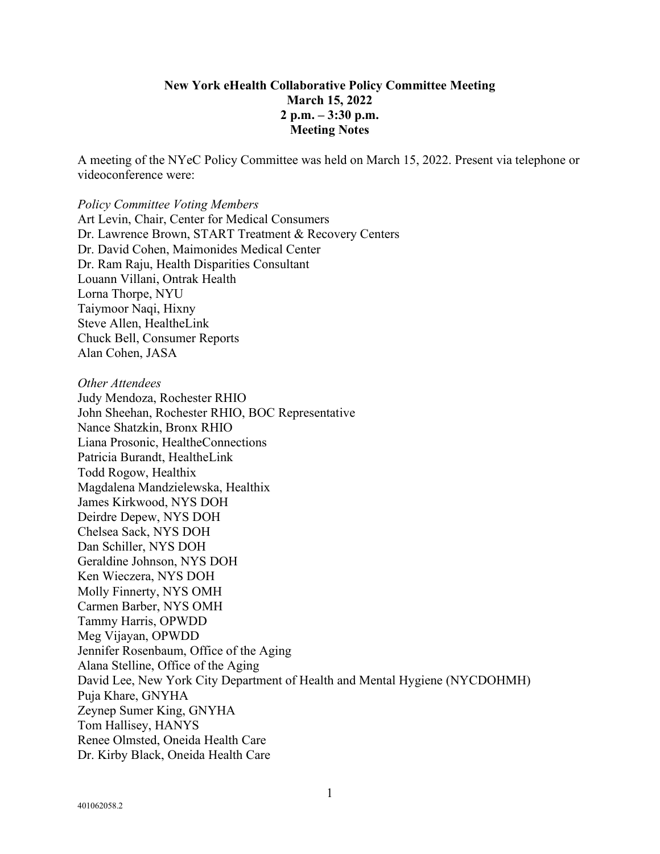#### **New York eHealth Collaborative Policy Committee Meeting March 15, 2022 2 p.m. – 3:30 p.m. Meeting Notes**

A meeting of the NYeC Policy Committee was held on March 15, 2022. Present via telephone or videoconference were:

#### *Policy Committee Voting Members* Art Levin, Chair, Center for Medical Consumers Dr. Lawrence Brown, START Treatment & Recovery Centers Dr. David Cohen, Maimonides Medical Center Dr. Ram Raju, Health Disparities Consultant Louann Villani, Ontrak Health Lorna Thorpe, NYU Taiymoor Naqi, Hixny Steve Allen, HealtheLink Chuck Bell, Consumer Reports Alan Cohen, JASA

*Other Attendees* Judy Mendoza, Rochester RHIO John Sheehan, Rochester RHIO, BOC Representative Nance Shatzkin, Bronx RHIO Liana Prosonic, HealtheConnections Patricia Burandt, HealtheLink Todd Rogow, Healthix Magdalena Mandzielewska, Healthix James Kirkwood, NYS DOH Deirdre Depew, NYS DOH Chelsea Sack, NYS DOH Dan Schiller, NYS DOH Geraldine Johnson, NYS DOH Ken Wieczera, NYS DOH Molly Finnerty, NYS OMH Carmen Barber, NYS OMH Tammy Harris, OPWDD Meg Vijayan, OPWDD Jennifer Rosenbaum, Office of the Aging Alana Stelline, Office of the Aging David Lee, New York City Department of Health and Mental Hygiene (NYCDOHMH) Puja Khare, GNYHA Zeynep Sumer King, GNYHA Tom Hallisey, HANYS Renee Olmsted, Oneida Health Care Dr. Kirby Black, Oneida Health Care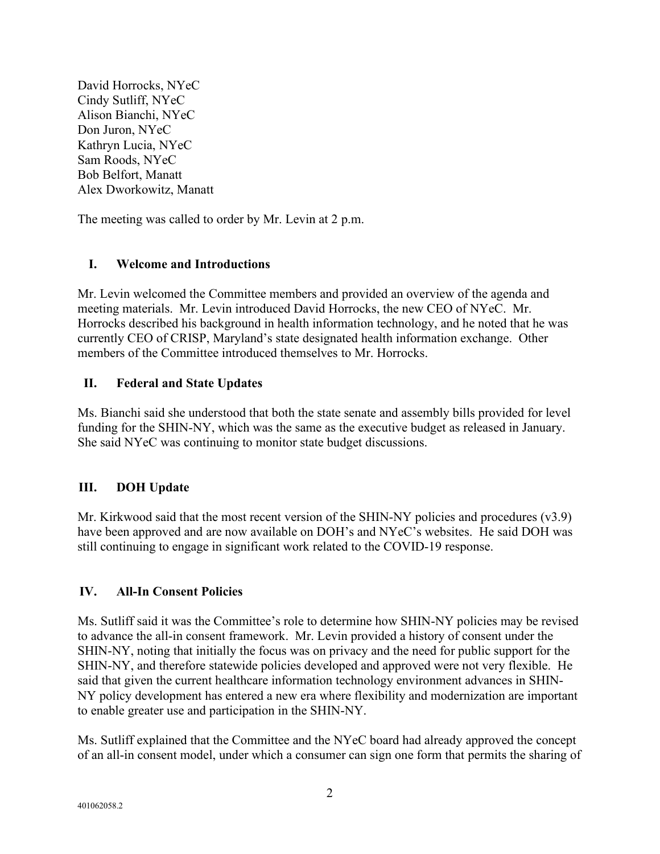David Horrocks, NYeC Cindy Sutliff, NYeC Alison Bianchi, NYeC Don Juron, NYeC Kathryn Lucia, NYeC Sam Roods, NYeC Bob Belfort, Manatt Alex Dworkowitz, Manatt

The meeting was called to order by Mr. Levin at 2 p.m.

## **I. Welcome and Introductions**

Mr. Levin welcomed the Committee members and provided an overview of the agenda and meeting materials. Mr. Levin introduced David Horrocks, the new CEO of NYeC. Mr. Horrocks described his background in health information technology, and he noted that he was currently CEO of CRISP, Maryland's state designated health information exchange. Other members of the Committee introduced themselves to Mr. Horrocks.

## **II. Federal and State Updates**

Ms. Bianchi said she understood that both the state senate and assembly bills provided for level funding for the SHIN-NY, which was the same as the executive budget as released in January. She said NYeC was continuing to monitor state budget discussions.

# **III. DOH Update**

Mr. Kirkwood said that the most recent version of the SHIN-NY policies and procedures (v3.9) have been approved and are now available on DOH's and NYeC's websites. He said DOH was still continuing to engage in significant work related to the COVID-19 response.

# **IV. All-In Consent Policies**

Ms. Sutliff said it was the Committee's role to determine how SHIN-NY policies may be revised to advance the all-in consent framework. Mr. Levin provided a history of consent under the SHIN-NY, noting that initially the focus was on privacy and the need for public support for the SHIN-NY, and therefore statewide policies developed and approved were not very flexible. He said that given the current healthcare information technology environment advances in SHIN-NY policy development has entered a new era where flexibility and modernization are important to enable greater use and participation in the SHIN-NY.

Ms. Sutliff explained that the Committee and the NYeC board had already approved the concept of an all-in consent model, under which a consumer can sign one form that permits the sharing of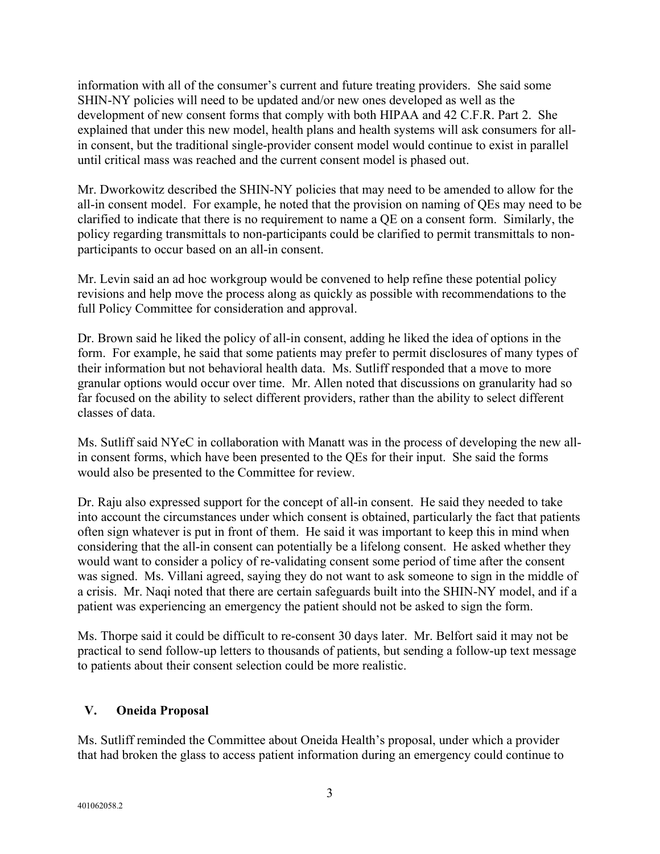information with all of the consumer's current and future treating providers. She said some SHIN-NY policies will need to be updated and/or new ones developed as well as the development of new consent forms that comply with both HIPAA and 42 C.F.R. Part 2. She explained that under this new model, health plans and health systems will ask consumers for allin consent, but the traditional single-provider consent model would continue to exist in parallel until critical mass was reached and the current consent model is phased out.

Mr. Dworkowitz described the SHIN-NY policies that may need to be amended to allow for the all-in consent model. For example, he noted that the provision on naming of QEs may need to be clarified to indicate that there is no requirement to name a QE on a consent form. Similarly, the policy regarding transmittals to non-participants could be clarified to permit transmittals to nonparticipants to occur based on an all-in consent.

Mr. Levin said an ad hoc workgroup would be convened to help refine these potential policy revisions and help move the process along as quickly as possible with recommendations to the full Policy Committee for consideration and approval.

Dr. Brown said he liked the policy of all-in consent, adding he liked the idea of options in the form. For example, he said that some patients may prefer to permit disclosures of many types of their information but not behavioral health data. Ms. Sutliff responded that a move to more granular options would occur over time. Mr. Allen noted that discussions on granularity had so far focused on the ability to select different providers, rather than the ability to select different classes of data.

Ms. Sutliff said NYeC in collaboration with Manatt was in the process of developing the new allin consent forms, which have been presented to the QEs for their input. She said the forms would also be presented to the Committee for review.

Dr. Raju also expressed support for the concept of all-in consent. He said they needed to take into account the circumstances under which consent is obtained, particularly the fact that patients often sign whatever is put in front of them. He said it was important to keep this in mind when considering that the all-in consent can potentially be a lifelong consent. He asked whether they would want to consider a policy of re-validating consent some period of time after the consent was signed. Ms. Villani agreed, saying they do not want to ask someone to sign in the middle of a crisis. Mr. Naqi noted that there are certain safeguards built into the SHIN-NY model, and if a patient was experiencing an emergency the patient should not be asked to sign the form.

Ms. Thorpe said it could be difficult to re-consent 30 days later. Mr. Belfort said it may not be practical to send follow-up letters to thousands of patients, but sending a follow-up text message to patients about their consent selection could be more realistic.

### **V. Oneida Proposal**

Ms. Sutliff reminded the Committee about Oneida Health's proposal, under which a provider that had broken the glass to access patient information during an emergency could continue to